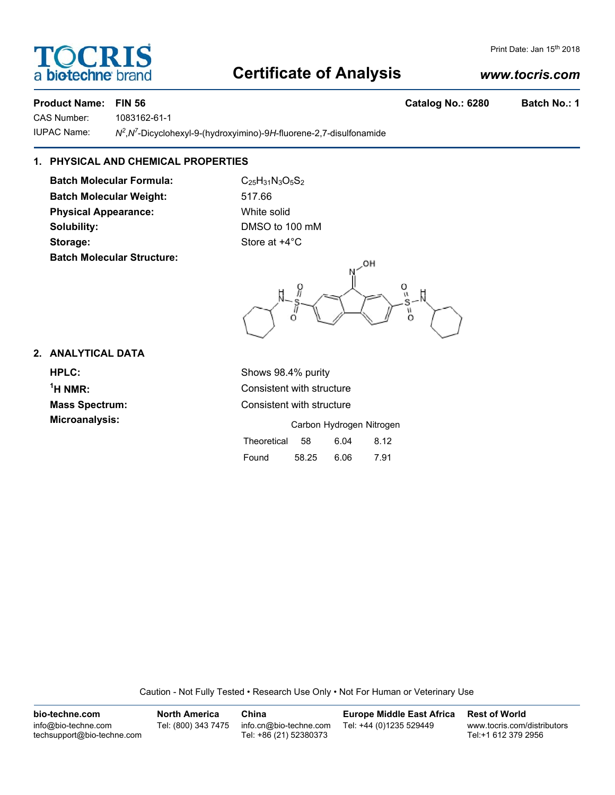## **Certificate of Analysis**

#### **Product Name: FIN 56 Catalog No.: 6280 Batch No.: 1**

CAS Number: 1083162-61-1 **IUPAC Name:** 

,*N7* -Dicyclohexyl-9-(hydroxyimino)-9*H*-fluorene-2,7-disulfonamide

### **1. PHYSICAL AND CHEMICAL PROPERTIES**

**Batch Molecular Formula:** C<sub>25</sub>H<sub>31</sub>N<sub>3</sub>O<sub>5</sub>S<sub>2</sub> **Batch Molecular Weight:** 517.66 **Physical Appearance:** White solid **Solubility:** DMSO to 100 mM **Storage:** Store at  $+4^{\circ}$ C **Batch Molecular Structure:**

OH Ō ပ္ပ  $\Omega$ 

#### **2. ANALYTICAL DATA**

**HPLC:** Shows 98.4% purity  $<sup>1</sup>H NMR$ :</sup> **Microanalysis:** Microanalysis: Exercise of Carbon Hydrogen Nitrogen

**Consistent with structure Mass Spectrum:** Consistent with structure

|             |     | Carbon Hydrogen Nitroge |      |
|-------------|-----|-------------------------|------|
| Theoretical | -58 | 6.04                    | 8.12 |

| Found | 58.25 | 6.06 | 7.91 |
|-------|-------|------|------|

Caution - Not Fully Tested • Research Use Only • Not For Human or Veterinary Use

**bio-techne.com** info@bio-techne.com techsupport@bio-techne.com **North America** Tel: (800) 343 7475 **China** info.cn@bio-techne.com Tel: +86 (21) 52380373 **Europe Middle East Africa** Tel: +44 (0)1235 529449 **Rest of World** www.tocris.com/distributors Tel:+1 612 379 2956



*www.tocris.com*

Print Date: Jan 15<sup>th</sup> 2018